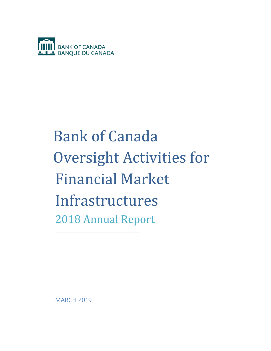

# Bank of Canada Oversight Activities for Financial Market Infrastructures 2018 Annual Report

MARCH 2019

\_\_\_\_\_\_\_\_\_\_\_\_\_\_\_\_\_\_\_\_\_\_\_\_\_\_\_\_\_\_\_\_\_\_\_\_\_\_\_\_\_\_\_\_\_\_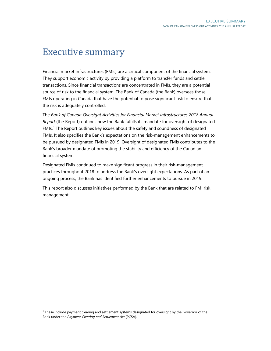# Executive summary

Financial market infrastructures (FMIs) are a critical component of the financial system. They support economic activity by providing a platform to transfer funds and settle transactions. Since financial transactions are concentrated in FMIs, they are a potential source of risk to the financial system. The Bank of Canada (the Bank) oversees those FMIs operating in Canada that have the potential to pose significant risk to ensure that the risk is adequately controlled.

The *Bank of Canada Oversight Activities for Financial Market Infrastructures 2018 Annual Report* (the Report) outlines how the Bank fulfills its mandate for oversight of designated FMIs.<sup>[1](#page-1-0)</sup> The Report outlines key issues about the safety and soundness of designated FMIs. It also specifies the Bank's expectations on the risk-management enhancements to be pursued by designated FMIs in 2019. Oversight of designated FMIs contributes to the Bank's broader mandate of promoting the stability and efficiency of the Canadian financial system.

Designated FMIs continued to make significant progress in their risk-management practices throughout 2018 to address the Bank's oversight expectations. As part of an ongoing process, the Bank has identified further enhancements to pursue in 2019.

This report also discusses initiatives performed by the Bank that are related to FMI risk management.

<span id="page-1-0"></span><sup>1</sup> These include payment clearing and settlement systems designated for oversight by the Governor of the Bank under the *Payment Clearing and Settlement Act* (PCSA).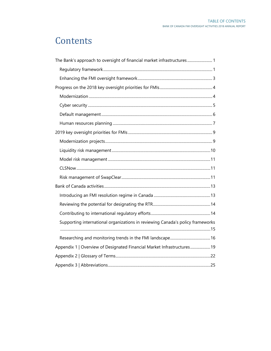# Contents

| The Bank's approach to oversight of financial market infrastructures 1         |  |
|--------------------------------------------------------------------------------|--|
|                                                                                |  |
|                                                                                |  |
|                                                                                |  |
|                                                                                |  |
|                                                                                |  |
|                                                                                |  |
|                                                                                |  |
|                                                                                |  |
|                                                                                |  |
|                                                                                |  |
|                                                                                |  |
|                                                                                |  |
|                                                                                |  |
|                                                                                |  |
|                                                                                |  |
|                                                                                |  |
|                                                                                |  |
| Supporting international organizations in reviewing Canada's policy frameworks |  |
|                                                                                |  |
| Appendix 1   Overview of Designated Financial Market Infrastructures 19        |  |
|                                                                                |  |
|                                                                                |  |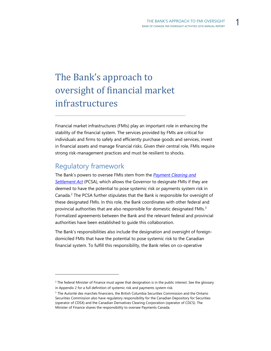# <span id="page-3-0"></span>The Bank's approach to oversight of financial market infrastructures

\_\_\_\_\_\_\_\_\_\_\_\_\_\_\_\_\_\_\_\_\_\_\_\_\_\_\_\_\_\_\_\_\_\_\_\_\_\_\_\_\_\_\_\_\_\_\_\_\_\_\_\_\_\_\_\_\_\_\_\_\_\_\_\_\_\_\_\_\_\_\_

Financial market infrastructures (FMIs) play an important role in enhancing the stability of the financial system. The services provided by FMIs are critical for individuals and firms to safely and efficiently purchase goods and services, invest in financial assets and manage financial risks. Given their central role, FMIs require strong risk-management practices and must be resilient to shocks.

#### <span id="page-3-1"></span>Regulatory framework

-

The Bank's powers to oversee FMIs stem from the *[Payment Clearing and](http://laws-lois.justice.gc.ca/eng/acts/P-4.4)  [Settlement Act](http://laws-lois.justice.gc.ca/eng/acts/P-4.4)* (PCSA), which allows the Governor to designate FMIs if they are deemed to have the potential to pose systemic risk or payments system risk in Canada. [2](#page-3-2) The PCSA further stipulates that the Bank is responsible for oversight of these designated FMIs. In this role, the Bank coordinates with other federal and provincial authorities that are also responsible for domestic designated FMIs.<sup>[3](#page-3-3)</sup> Formalized agreements between the Bank and the relevant federal and provincial authorities have been established to guide this collaboration.

The Bank's responsibilities also include the designation and oversight of foreigndomiciled FMIs that have the potential to pose systemic risk to the Canadian financial system. To fulfill this responsibility, the Bank relies on co-operative

<span id="page-3-2"></span> $2$  The federal Minister of Finance must agree that designation is in the public interest. See the glossary in Appendix 2 for a full definition of systemic risk and payments system risk.

<span id="page-3-3"></span><sup>&</sup>lt;sup>3</sup> The Autorité des marchés financiers, the British Columbia Securities Commission and the Ontario Securities Commission also have regulatory responsibility for the Canadian Depository for Securities (operator of CDSX) and the Canadian Derivatives Clearing Corporation (operator of CDCS). The Minister of Finance shares the responsibility to oversee Payments Canada.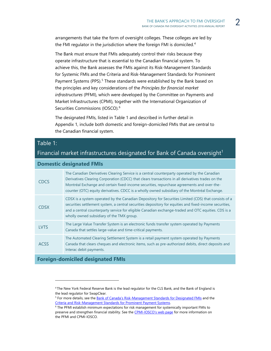arrangements that take the form of oversight colleges. These colleges are led by the FMI regulator in the jurisdiction where the foreign FMI is domiciled.<sup>[4](#page-4-0)</sup>

The Bank must ensure that FMIs adequately control their risks because they operate infrastructure that is essential to the Canadian financial system. To achieve this, the Bank assesses the FMIs against its Risk-Management Standards for Systemic FMIs and the Criteria and Risk-Management Standards for Prominent Payment Systems (PPS).<sup>[5](#page-4-1)</sup> These standards were established by the Bank based on the principles and key considerations of the *Principles for financial market infrastructures* (PFMI), which were developed by the Committee on Payments and Market Infrastructures (CPMI), together with the International Organization of Securities Commissions (IOSCO).<sup>6</sup>

The designated FMIs, listed in Table 1 and described in further detail in Appendix 1, include both domestic and foreign-domiciled FMIs that are central to the Canadian financial system.

#### Table 1:

#### Financial market infrastructures designated for Bank of Canada oversight $1$

#### **Domestic designated FMIs**

| <b>CDCS</b> | The Canadian Derivatives Clearing Service is a central counterparty operated by the Canadian<br>Derivatives Clearing Corporation (CDCC) that clears transactions in all derivatives trades on the<br>Montréal Exchange and certain fixed-income securities, repurchase agreements and over-the-<br>counter (OTC) equity derivatives. CDCC is a wholly owned subsidiary of the Montréal Exchange. |
|-------------|--------------------------------------------------------------------------------------------------------------------------------------------------------------------------------------------------------------------------------------------------------------------------------------------------------------------------------------------------------------------------------------------------|
| <b>CDSX</b> | CDSX is a system operated by the Canadian Depository for Securities Limited (CDS) that consists of a<br>securities settlement system, a central securities depository for equities and fixed-income securities,<br>and a central counterparty service for eligible Canadian exchange-traded and OTC equities. CDS is a<br>wholly owned subsidiary of the TMX group.                              |
| <b>LVTS</b> | The Large Value Transfer System is an electronic funds transfer system operated by Payments<br>Canada that settles large-value and time-critical payments.                                                                                                                                                                                                                                       |
| <b>ACSS</b> | The Automated Clearing Settlement System is a retail payment system operated by Payments<br>Canada that clears cheques and electronic items, such as pre-authorized debits, direct deposits and<br>Interac debit payments.                                                                                                                                                                       |

#### <span id="page-4-1"></span><span id="page-4-0"></span>**Foreign-domiciled designated FMIs**

<sup>4</sup> The New York Federal Reserve Bank is the lead regulator for the CLS Bank, and the Bank of England is the lead regulator for SwapClear.

<sup>&</sup>lt;sup>5</sup> For more details, see th[e Bank of Canada's Risk-Management Standards for Designated FMIs](http://www.bankofcanada.ca/core-functions/financial-system/bank-canada-risk-management-standards-systemic-fmis/) and the Criteria and Risk-Management Standards for Prominent Payment Systems.<br><sup>6</sup> The PFMI establish minimum expectations for risk management for systemically important FMIs to

<span id="page-4-2"></span>preserve and strengthen financial stability. See the [CPMI-IOSCO's web page](https://www.bis.org/cpmi/about/overview.htm?m=3%7C16%7C691) for more information on the PFMI and CPMI-IOSCO.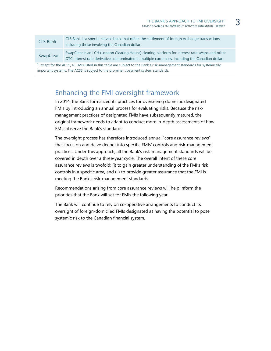| <b>CLS Bank</b> | CLS Bank is a special-service bank that offers the settlement of foreign exchange transactions,<br>including those involving the Canadian dollar.                                                   |
|-----------------|-----------------------------------------------------------------------------------------------------------------------------------------------------------------------------------------------------|
| SwapClear       | SwapClear is an LCH (London Clearing House) clearing platform for interest rate swaps and other<br>OTC interest rate derivatives denominated in multiple currencies, including the Canadian dollar. |
|                 | 1 Finalis for the ACCC. All FMIs Results that the subject to site of the Book's which we are accepted to a development of the second the                                                            |

Except for the ACSS, all FMIs listed in this table are subject to the Bank's risk-management standards for systemically important systems. The ACSS is subject to the prominent payment system standards.

#### <span id="page-5-0"></span>Enhancing the FMI oversight framework

In 2014, the Bank formalized its practices for overseeing domestic designated FMIs by introducing an annual process for evaluating risks. Because the riskmanagement practices of designated FMIs have subsequently matured, the original framework needs to adapt to conduct more in-depth assessments of how FMIs observe the Bank's standards.

The oversight process has therefore introduced annual "core assurance reviews" that focus on and delve deeper into specific FMIs' controls and risk-management practices. Under this approach, all the Bank's risk-management standards will be covered in depth over a three-year cycle. The overall intent of these core assurance reviews is twofold: (i) to gain greater understanding of the FMI's risk controls in a specific area, and (ii) to provide greater assurance that the FMI is meeting the Bank's risk-management standards.

Recommendations arising from core assurance reviews will help inform the priorities that the Bank will set for FMIs the following year.

The Bank will continue to rely on co-operative arrangements to conduct its oversight of foreign-domiciled FMIs designated as having the potential to pose systemic risk to the Canadian financial system.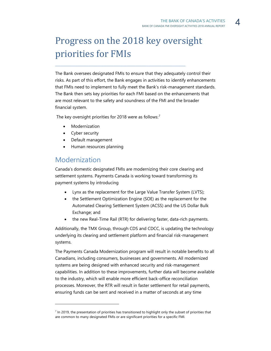# <span id="page-6-0"></span>Progress on the 2018 key oversight priorities for FMIs

\_\_\_\_\_\_\_\_\_\_\_\_\_\_\_\_\_\_\_\_\_\_\_\_\_\_\_\_\_\_\_\_\_\_\_\_\_\_\_\_\_\_\_\_\_\_\_\_\_\_\_\_\_\_\_\_\_\_\_\_\_\_\_\_\_\_\_\_\_\_\_

The Bank oversees designated FMIs to ensure that they adequately control their risks. As part of this effort, the Bank engages in activities to identify enhancements that FMIs need to implement to fully meet the Bank's risk-management standards. The Bank then sets key priorities for each FMI based on the enhancements that are most relevant to the safety and soundness of the FMI and the broader financial system.

The key oversight priorities for 2018 were as follows:<sup>[7](#page-6-2)</sup>

- Modernization
- Cyber security
- Default management
- Human resources planning

#### <span id="page-6-1"></span>Modernization

-

Canada's domestic designated FMIs are modernizing their core clearing and settlement systems. Payments Canada is working toward transforming its payment systems by introducing

- Lynx as the replacement for the Large Value Transfer System (LVTS);
- the Settlement Optimization Engine (SOE) as the replacement for the Automated Clearing Settlement System (ACSS) and the US Dollar Bulk Exchange; and
- the new Real-Time Rail (RTR) for delivering faster, data-rich payments.

Additionally, the TMX Group, through CDS and CDCC, is updating the technology underlying its clearing and settlement platform and financial risk-management systems.

The Payments Canada Modernization program will result in notable benefits to all Canadians, including consumers, businesses and governments. All modernized systems are being designed with enhanced security and risk-management capabilities. In addition to these improvements, further data will become available to the industry, which will enable more efficient back-office reconciliation processes. Moreover, the RTR will result in faster settlement for retail payments, ensuring funds can be sent and received in a matter of seconds at any time

<span id="page-6-2"></span> $<sup>7</sup>$  In 2019, the presentation of priorities has transitioned to highlight only the subset of priorities that</sup> are common to many designated FMIs or are significant priorities for a specific FMI.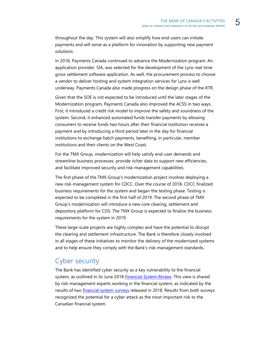throughout the day. This system will also simplify how end-users can initiate payments and will serve as a platform for innovation by supporting new payment solutions.

In 2018, Payments Canada continued to advance the Modernization program. An application provider, SIA, was selected for the development of the Lynx real-time gross settlement software application. As well, the procurement process to choose a vendor to deliver hosting and system integration services for Lynx is well underway. Payments Canada also made progress on the design phase of the RTR.

Given that the SOE is not expected to be introduced until the later stages of the Modernization program, Payments Canada also improved the ACSS in two ways. First, it introduced a credit risk model to improve the safety and soundness of the system. Second, it enhanced automated funds transfer payments by allowing consumers to receive funds two hours after their financial institution receives a payment and by introducing a third period later in the day for financial institutions to exchange batch payments, benefiting, in particular, member institutions and their clients on the West Coast.

For the TMX Group, modernization will help satisfy end-user demands and streamline business processes, provide richer data to support new efficiencies, and facilitate improved security and risk-management capabilities.

The first phase of the TMX Group's modernization project involves deploying a new risk-management system for CDCC. Over the course of 2018, CDCC finalized business requirements for the system and began the testing phase. Testing is expected to be completed in the first half of 2019. The second phase of TMX Group's modernization will introduce a new core clearing, settlement and depository platform for CDS. The TMX Group is expected to finalize the business requirements for the system in 2019.

These large-scale projects are highly complex and have the potential to disrupt the clearing and settlement infrastructure. The Bank is therefore closely involved in all stages of these initiatives to monitor the delivery of the modernized systems and to help ensure they comply with the Bank's risk-management standards.

#### <span id="page-7-0"></span>Cyber security

The Bank has identified cyber security as a key vulnerability to the financial system, as outlined in its June 2018 *[Financial System Review](https://intranet-en.bank-banque-canada.ca/search/?esearch=style+guide)*. This view is shared by risk-management experts working in the financial system, as indicated by the results of two *financial system surveys* released in 2018. Results from both surveys recognized the potential for a cyber attack as the most important risk to the Canadian financial system.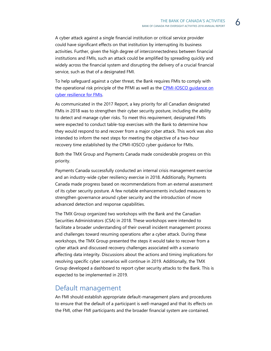A cyber attack against a single financial institution or critical service provider could have significant effects on that institution by interrupting its business activities. Further, given the high degree of interconnectedness between financial institutions and FMIs, such an attack could be amplified by spreading quickly and widely across the financial system and disrupting the delivery of a crucial financial service, such as that of a designated FMI.

To help safeguard against a cyber threat, the Bank requires FMIs to comply with the operational risk principle of the PFMI as well as the CPMI-IOSCO quidance on [cyber resilience for FMIs.](https://www.bis.org/cpmi/publ/d146.htm)

As communicated in the 2017 Report, a key priority for all Canadian designated FMIs in 2018 was to strengthen their cyber security posture, including the ability to detect and manage cyber risks. To meet this requirement, designated FMIs were expected to conduct table-top exercises with the Bank to determine how they would respond to and recover from a major cyber attack. This work was also intended to inform the next steps for meeting the objective of a two-hour recovery time established by the CPMI-IOSCO cyber guidance for FMIs.

Both the TMX Group and Payments Canada made considerable progress on this priority.

Payments Canada successfully conducted an internal crisis management exercise and an industry-wide cyber resiliency exercise in 2018. Additionally, Payments Canada made progress based on recommendations from an external assessment of its cyber security posture. A few notable enhancements included measures to strengthen governance around cyber security and the introduction of more advanced detection and response capabilities.

The TMX Group organized two workshops with the Bank and the Canadian Securities Administrators (CSA) in 2018. These workshops were intended to facilitate a broader understanding of their overall incident management process and challenges toward resuming operations after a cyber attack. During these workshops, the TMX Group presented the steps it would take to recover from a cyber attack and discussed recovery challenges associated with a scenario affecting data integrity. Discussions about the actions and timing implications for resolving specific cyber scenarios will continue in 2019. Additionally, the TMX Group developed a dashboard to report cyber security attacks to the Bank. This is expected to be implemented in 2019.

#### <span id="page-8-0"></span>Default management

An FMI should establish appropriate default-management plans and procedures to ensure that the default of a participant is well-managed and that its effects on the FMI, other FMI participants and the broader financial system are contained.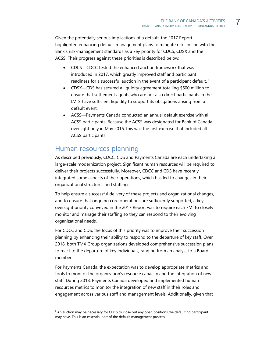Given the potentially serious implications of a default, the 2017 Report highlighted enhancing default-management plans to mitigate risks in line with the Bank's risk-management standards as a key priority for CDCS, CDSX and the ACSS. Their progress against these priorities is described below:

- CDCS—CDCC tested the enhanced auction framework that was introduced in 2017, which greatly improved staff and participant readiness for a successful auction in the event of a participant default. [8](#page-9-1)
- CDSX—CDS has secured a liquidity agreement totalling \$600 million to ensure that settlement agents who are not also direct participants in the LVTS have sufficient liquidity to support its obligations arising from a default event.
- ACSS—Payments Canada conducted an annual default exercise with all ACSS participants. Because the ACSS was designated for Bank of Canada oversight only in May 2016, this was the first exercise that included all ACSS participants.

#### <span id="page-9-0"></span>Human resources planning

-

As described previously, CDCC, CDS and Payments Canada are each undertaking a large-scale modernization project. Significant human resources will be required to deliver their projects successfully. Moreover, CDCC and CDS have recently integrated some aspects of their operations, which has led to changes in their organizational structures and staffing.

To help ensure a successful delivery of these projects and organizational changes, and to ensure that ongoing core operations are sufficiently supported, a key oversight priority conveyed in the 2017 Report was to require each FMI to closely monitor and manage their staffing so they can respond to their evolving organizational needs.

For CDCC and CDS, the focus of this priority was to improve their succession planning by enhancing their ability to respond to the departure of key staff. Over 2018, both TMX Group organizations developed comprehensive succession plans to react to the departure of key individuals, ranging from an analyst to a Board member.

For Payments Canada, the expectation was to develop appropriate metrics and tools to monitor the organization's resource capacity and the integration of new staff. During 2018, Payments Canada developed and implemented human resources metrics to monitor the integration of new staff in their roles and engagement across various staff and management levels. Additionally, given that

<span id="page-9-1"></span><sup>&</sup>lt;sup>8</sup> An auction may be necessary for CDCS to close out any open positions the defaulting participant may have. This is an essential part of the default-management process.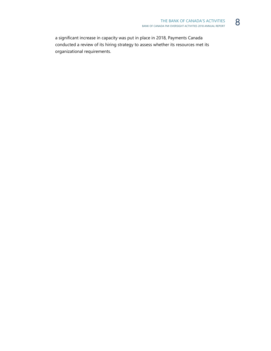a significant increase in capacity was put in place in 2018, Payments Canada conducted a review of its hiring strategy to assess whether its resources met its organizational requirements.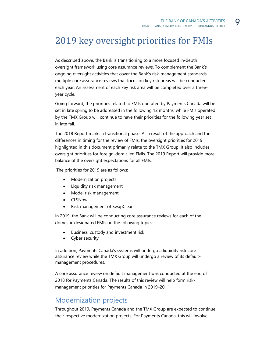# <span id="page-11-0"></span>2019 key oversight priorities for FMIs

\_\_\_\_\_\_\_\_\_\_\_\_\_\_\_\_\_\_\_\_\_\_\_\_\_\_\_\_\_\_\_\_\_\_\_\_\_\_\_\_\_\_\_\_\_\_\_\_\_\_\_\_\_\_\_\_\_\_\_\_\_\_\_\_\_\_\_\_\_\_\_

As described above, the Bank is transitioning to a more focused in-depth oversight framework using core assurance reviews. To complement the Bank's ongoing oversight activities that cover the Bank's risk-management standards, multiple core assurance reviews that focus on key risk areas will be conducted each year. An assessment of each key risk area will be completed over a threeyear cycle.

Going forward, the priorities related to FMIs operated by Payments Canada will be set in late spring to be addressed in the following 12 months, while FMIs operated by the TMX Group will continue to have their priorities for the following year set in late fall.

The 2018 Report marks a transitional phase. As a result of the approach and the differences in timing for the review of FMIs, the oversight priorities for 2019 highlighted in this document primarily relate to the TMX Group. It also includes oversight priorities for foreign-domiciled FMIs. The 2019 Report will provide more balance of the oversight expectations for all FMIs.

The priorities for 2019 are as follows:

- Modernization projects
- Liquidity risk management
- Model risk management
- CLSNow
- Risk management of SwapClear

In 2019, the Bank will be conducting core assurance reviews for each of the domestic designated FMIs on the following topics:

- Business, custody and investment risk
- Cyber security

In addition, Payments Canada's systems will undergo a liquidity risk core assurance review while the TMX Group will undergo a review of its defaultmanagement procedures.

A core assurance review on default management was conducted at the end of 2018 for Payments Canada. The results of this review will help form riskmanagement priorities for Payments Canada in 2019–20.

#### <span id="page-11-1"></span>Modernization projects

Throughout 2019, Payments Canada and the TMX Group are expected to continue their respective modernization projects. For Payments Canada, this will involve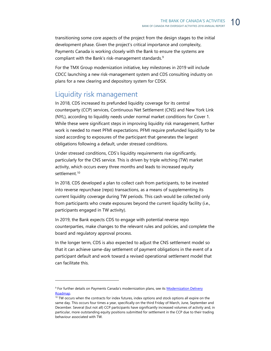transitioning some core aspects of the project from the design stages to the initial development phase. Given the project's critical importance and complexity, Payments Canada is working closely with the Bank to ensure the systems are compliant with the Bank's risk-management standards. [9](#page-12-1)

For the TMX Group modernization initiative, key milestones in 2019 will include CDCC launching a new risk-management system and CDS consulting industry on plans for a new clearing and depository system for CDSX.

#### <span id="page-12-0"></span>Liquidity risk management

In 2018, CDS increased its prefunded liquidity coverage for its central counterparty (CCP) services, Continuous Net Settlement (CNS) and New York Link (NYL), according to liquidity needs under normal market conditions for Cover 1. While these were significant steps in improving liquidity risk management, further work is needed to meet PFMI expectations. PFMI require prefunded liquidity to be sized according to exposures of the participant that generates the largest obligations following a default, under stressed conditions.

Under stressed conditions, CDS's liquidity requirements rise significantly, particularly for the CNS service. This is driven by triple witching (TW) market activity, which occurs every three months and leads to increased equity settlement.<sup>[10](#page-12-2)</sup>

In 2018, CDS developed a plan to collect cash from participants, to be invested into reverse repurchase (repo) transactions, as a means of supplementing its current liquidity coverage during TW periods. This cash would be collected only from participants who create exposures beyond the current liquidity facility (i.e., participants engaged in TW activity).

In 2019, the Bank expects CDS to engage with potential reverse repo counterparties, make changes to the relevant rules and policies, and complete the board and regulatory approval process.

In the longer term, CDS is also expected to adjust the CNS settlement model so that it can achieve same-day settlement of payment obligations in the event of a participant default and work toward a revised operational settlement model that can facilitate this.

<span id="page-12-1"></span><sup>&</sup>lt;sup>9</sup> For further details on Payments Canada's modernization plans, see its **Modernization Delivery** Roadmap.<br><sup>10</sup> TW occurs when the contracts for index futures, index options and stock options all expire on the

<span id="page-12-2"></span>same day. This occurs four times a year, specifically on the third Friday of March, June, September and December. Several (but not all) CCP participants have significantly increased volumes of activity and, in particular, more outstanding equity positions submitted for settlement in the CCP due to their trading behaviour associated with TW.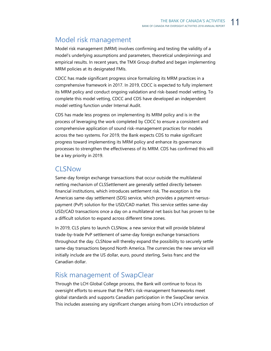#### <span id="page-13-0"></span>Model risk management

Model risk management (MRM) involves confirming and testing the validity of a model's underlying assumptions and parameters, theoretical underpinnings and empirical results. In recent years, the TMX Group drafted and began implementing MRM policies at its designated FMIs.

CDCC has made significant progress since formalizing its MRM practices in a comprehensive framework in 2017. In 2019, CDCC is expected to fully implement its MRM policy and conduct ongoing validation and risk-based model vetting. To complete this model vetting, CDCC and CDS have developed an independent model vetting function under Internal Audit.

CDS has made less progress on implementing its MRM policy and is in the process of leveraging the work completed by CDCC to ensure a consistent and comprehensive application of sound risk-management practices for models across the two systems. For 2019, the Bank expects CDS to make significant progress toward implementing its MRM policy and enhance its governance processes to strengthen the effectiveness of its MRM. CDS has confirmed this will be a key priority in 2019.

#### <span id="page-13-1"></span>CLSNow

Same-day foreign exchange transactions that occur outside the multilateral netting mechanism of CLSSettlement are generally settled directly between financial institutions, which introduces settlement risk. The exception is the Americas same-day settlement (SDS) service, which provides a payment-versuspayment (PvP) solution for the USD/CAD market. This service settles same-day USD/CAD transactions once a day on a multilateral net basis but has proven to be a difficult solution to expand across different time zones.

In 2019, CLS plans to launch CLSNow, a new service that will provide bilateral trade-by-trade PvP settlement of same-day foreign exchange transactions throughout the day. CLSNow will thereby expand the possibility to securely settle same-day transactions beyond North America. The currencies the new service will initially include are the US dollar, euro, pound sterling, Swiss franc and the Canadian dollar.

#### <span id="page-13-2"></span>Risk management of SwapClear

Through the LCH Global College process, the Bank will continue to focus its oversight efforts to ensure that the FMI's risk-management frameworks meet global standards and supports Canadian participation in the SwapClear service. This includes assessing any significant changes arising from LCH's introduction of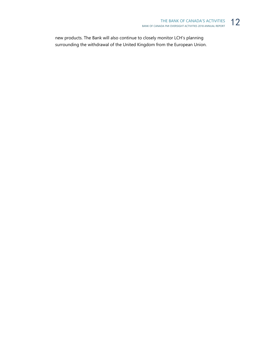new products. The Bank will also continue to closely monitor LCH's planning surrounding the withdrawal of the United Kingdom from the European Union.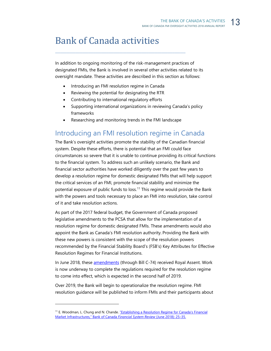# <span id="page-15-0"></span>Bank of Canada activities

In addition to ongoing monitoring of the risk-management practices of designated FMIs, the Bank is involved in several other activities related to its oversight mandate. These activities are described in this section as follows:

\_\_\_\_\_\_\_\_\_\_\_\_\_\_\_\_\_\_\_\_\_\_\_\_\_\_\_\_\_\_\_\_\_\_\_\_\_\_\_\_\_\_\_\_\_\_\_\_\_\_\_\_\_\_\_\_\_\_\_\_\_\_\_\_\_\_\_\_\_\_\_

- Introducing an FMI resolution regime in Canada
- Reviewing the potential for designating the RTR
- Contributing to international regulatory efforts
- Supporting international organizations in reviewing Canada's policy frameworks
- Researching and monitoring trends in the FMI landscape

#### <span id="page-15-1"></span>Introducing an FMI resolution regime in Canada

The Bank's oversight activities promote the stability of the Canadian financial system. Despite these efforts, there is potential that an FMI could face circumstances so severe that it is unable to continue providing its critical functions to the financial system. To address such an unlikely scenario, the Bank and financial sector authorities have worked diligently over the past few years to develop a resolution regime for domestic designated FMIs that will help support the critical services of an FMI, promote financial stability and minimize the potential exposure of public funds to loss. [11](#page-15-2) This regime would provide the Bank with the powers and tools necessary to place an FMI into resolution, take control of it and take resolution actions.

As part of the 2017 federal budget, the Government of Canada proposed legislative amendments to the PCSA that allow for the implementation of a resolution regime for domestic designated FMIs. These amendments would also appoint the Bank as Canada's FMI resolution authority. Providing the Bank with these new powers is consistent with the scope of the resolution powers recommended by the Financial Stability Board's (FSB's) Key Attributes for Effective Resolution Regimes for Financial Institutions.

In June 2018, these [amendments](https://laws-lois.justice.gc.ca/eng/acts/P-4.4/nifnev.html) (through Bill C-74) received Royal Assent. Work is now underway to complete the regulations required for the resolution regime to come into effect, which is expected in the second half of 2019.

Over 2019, the Bank will begin to operationalize the resolution regime. FMI resolution guidance will be published to inform FMIs and their participants about

<span id="page-15-2"></span><sup>&</sup>lt;sup>11</sup> E. Woodman, L. Chung and N. Chande. "Establishing a Resolution Regime for Canada's Financial [Market Infrastructures," Bank of Canada](https://www.bankofcanada.ca/wp-content/uploads/2018/06/fsr-june2018.pdf) *Financial System Review* (June 2018): 25–35.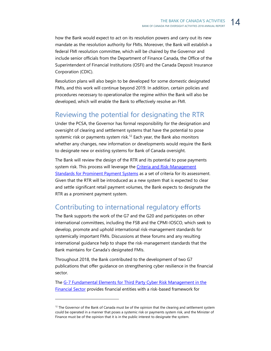how the Bank would expect to act on its resolution powers and carry out its new mandate as the resolution authority for FMIs. Moreover, the Bank will establish a federal FMI resolution committee, which will be chaired by the Governor and include senior officials from the Department of Finance Canada, the Office of the Superintendent of Financial Institutions (OSFI) and the Canada Deposit Insurance Corporation (CDIC).

Resolution plans will also begin to be developed for some domestic designated FMIs, and this work will continue beyond 2019. In addition, certain policies and procedures necessary to operationalize the regime within the Bank will also be developed, which will enable the Bank to effectively resolve an FMI.

#### <span id="page-16-0"></span>Reviewing the potential for designating the RTR

Under the PCSA, the Governor has formal responsibility for the designation and oversight of clearing and settlement systems that have the potential to pose systemic risk or payments system risk.<sup>[12](#page-16-2)</sup> Each year, the Bank also monitors whether any changes, new information or developments would require the Bank to designate new or existing systems for Bank of Canada oversight.

The Bank will review the design of the RTR and its potential to pose payments system risk. This process will leverage the Criteria and Risk-Management [Standards for Prominent Payment Systems](https://www.bankofcanada.ca/wp-content/uploads/2016/02/criteria-risk-management-standards.pdf) as a set of criteria for its assessment. Given that the RTR will be introduced as a new system that is expected to clear and settle significant retail payment volumes, the Bank expects to designate the RTR as a prominent payment system.

#### <span id="page-16-1"></span>Contributing to international regulatory efforts

The Bank supports the work of the G7 and the G20 and participates on other international committees, including the FSB and the CPMI-IOSCO, which seek to develop, promote and uphold international risk-management standards for systemically important FMIs. Discussions at these forums and any resulting international guidance help to shape the risk-management standards that the Bank maintains for Canada's designated FMIs.

Throughout 2018, the Bank contributed to the development of two G7 publications that offer guidance on strengthening cyber resilience in the financial sector.

The [G-7 Fundamental Elements for Third Party Cyber Risk Management in the](https://www.fin.gc.ca/activty/G7/pdf/G7-cyber-risk-management-gestion-risques-cybernetiques-eng.pdf)  [Financial Sector](https://www.fin.gc.ca/activty/G7/pdf/G7-cyber-risk-management-gestion-risques-cybernetiques-eng.pdf) provides financial entities with a risk-based framework for

<span id="page-16-2"></span> $12$  The Governor of the Bank of Canada must be of the opinion that the clearing and settlement system could be operated in a manner that poses a systemic risk or payments system risk, and the Minister of Finance must be of the opinion that it is in the public interest to designate the system.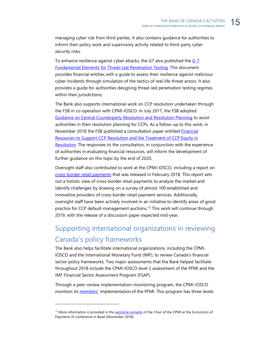managing cyber risk from third parties. It also contains guidance for authorities to inform their policy work and supervisory activity related to third-party cyber security risks.

To enhance resilience against cyber attacks, the G7 also published the G-7 [Fundamental Elements for Threat-Led Penetration Testing.](https://www.fin.gc.ca/activty/G7/pdf/G7-penetration-testing-tests-penetration-eng.pdf) This document provides financial entities with a guide to assess their resilience against malicious cyber incidents through simulation of the tactics of real-life threat actors. It also provides a guide for authorities designing threat-led penetration testing regimes within their jurisdictions.

The Bank also supports international work on CCP resolution undertaken through the FSB in co-operation with CPMI-IOSCO. In July 2017, the FSB adopted [Guidance on Central Counterparty Resolution and Resolution Planning](http://www.fsb.org/2017/07/guidance-on-central-counterparty-resolution-and-resolution-planning-2/) to assist authorities in their resolution planning for CCPs. As a follow-up to this work, in November 2018 the FSB published a consultation paper entitled **Financial** [Resources to Support CCP Resolution and the Treatment of CCP Equity in](http://www.fsb.org/wp-content/uploads/P151118-2.pdf)  [Resolution.](http://www.fsb.org/wp-content/uploads/P151118-2.pdf) The responses to the consultation, in conjunction with the experience of authorities in evaluating financial resources, will inform the development of further guidance on this topic by the end of 2020.

Oversight staff also contributed to work at the CPMI-IOSCO, including a report on [cross-border retail payments](https://www.bis.org/cpmi/publ/d173.htm) that was released in February 2018. This report sets out a holistic view of cross-border retail payments to analyze the market and identify challenges by drawing on a survey of almost 100 established and innovative providers of cross-border retail payment services. Additionally, oversight staff have been actively involved in an initiative to identify areas of good practice for CCP default-management auctions.<sup>[13](#page-17-1)</sup> This work will continue through 2019, with the release of a discussion paper expected mid-year.

### <span id="page-17-0"></span>Supporting international organizations in reviewing Canada's policy frameworks

The Bank also helps facilitate international organizations, including the CPMI-IOSCO and the International Monetary Fund (IMF), to review Canada's financial sector policy frameworks. Two major assessments that the Bank helped facilitate throughout 2018 include the CPMI-IOSCO level 2 assessment of the PFMI and the IMF Financial Sector Assessment Program (FSAP).

Through a peer-review implementation-monitoring program, the CPMI-IOSCO monitors its **members'** implementation of the PFMI. This program has three levels

<span id="page-17-1"></span><sup>&</sup>lt;sup>13</sup> More information is provided in th[e welcome remarks](https://www.bis.org/review/r181115a.htm) of the Chair of the CPMI at the Economics of Payments IX conference in Basel (November 2018).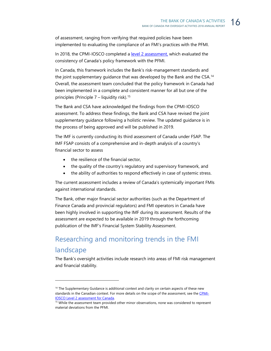of assessment, ranging from verifying that required policies have been implemented to evaluating the compliance of an FMI's practices with the PFMI.

In 2018, the CPMI-IOSCO completed a [level 2 assessment,](https://www.bis.org/cpmi/publ/d180.pdf) which evaluated the consistency of Canada's policy framework with the PFMI.

In Canada, this framework includes the Bank's risk-management standards and the joint supplementary guidance that was developed by the Bank and the CSA.<sup>[14](#page-18-1)</sup> Overall, the assessment team concluded that the policy framework in Canada had been implemented in a complete and consistent manner for all but one of the principles (Principle  $7$  – liquidity risk).<sup>[15](#page-18-2)</sup>

The Bank and CSA have acknowledged the findings from the CPMI-IOSCO assessment. To address these findings, the Bank and CSA have revised the joint supplementary guidance following a holistic review. The updated guidance is in the process of being approved and will be published in 2019.

The IMF is currently conducting its third assessment of Canada under FSAP. The IMF FSAP consists of a comprehensive and in-depth analysis of a country's financial sector to assess

• the resilience of the financial sector,

-

- the quality of the country's regulatory and supervisory framework, and
- the ability of authorities to respond effectively in case of systemic stress.

The current assessment includes a review of Canada's systemically important FMIs against international standards.

The Bank, other major financial sector authorities (such as the Department of Finance Canada and provincial regulators) and FMI operators in Canada have been highly involved in supporting the IMF during its assessment. Results of the assessment are expected to be available in 2019 through the forthcoming publication of the IMF's Financial System Stability Assessment.

## <span id="page-18-0"></span>Researching and monitoring trends in the FMI landscape

The Bank's oversight activities include research into areas of FMI risk management and financial stability.

<span id="page-18-1"></span><sup>&</sup>lt;sup>14</sup> The Supplementary Guidance is additional context and clarity on certain aspects of these new standards in the Canadian context. For more details on the scope of the assessment, see th[e CPMI-](https://www.bis.org/cpmi/publ/d180.pdf)IOSCO Level 2 assessment for Canada.<br><sup>15</sup> While the assessment team provided other minor observations, none was considered to represent

<span id="page-18-2"></span>material deviations from the PFMI.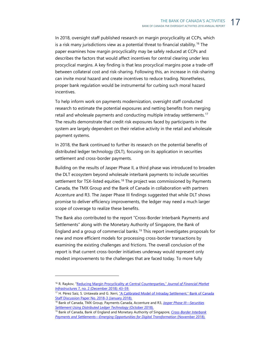In 2018, oversight staff published research on margin procyclicality at CCPs, which is a risk many jurisdictions view as a potential threat to financial stability.<sup>[16](#page-19-0)</sup> The paper examines how margin procyclicality may be safely reduced at CCPs and describes the factors that would affect incentives for central clearing under less procyclical margins. A key finding is that less procyclical margins pose a trade-off between collateral cost and risk-sharing. Following this, an increase in risk-sharing can invite moral hazard and create incentives to reduce trading. Nonetheless, proper bank regulation would be instrumental for curbing such moral hazard incentives.

To help inform work on payments modernization, oversight staff conducted research to estimate the potential exposures and netting benefits from merging retail and wholesale payments and conducting multiple intraday settlements.<sup>17</sup> The results demonstrate that credit risk exposures faced by participants in the system are largely dependent on their relative activity in the retail and wholesale payment systems.

In 2018, the Bank continued to further its research on the potential benefits of distributed ledger technology (DLT), focusing on its application in securities settlement and cross-border payments.

Building on the results of Jasper Phase II, a third phase was introduced to broaden the DLT ecosystem beyond wholesale interbank payments to include securities settlement for TSX-listed equities.<sup>[18](#page-19-2)</sup> The project was commissioned by Payments Canada, the TMX Group and the Bank of Canada in collaboration with partners Accenture and R3. The Jasper Phase III findings suggested that while DLT shows promise to deliver efficiency improvements, the ledger may need a much larger scope of coverage to realize these benefits.

The Bank also contributed to the report "Cross-Border Interbank Payments and Settlements" along with the Monetary Authority of Singapore, the Bank of England and a group of commercial banks.<sup>[19](#page-19-3)</sup> This report investigates proposals for new and more efficient models for processing cross-border transactions by examining the existing challenges and frictions. The overall conclusion of the report is that current cross-border initiatives underway would represent only modest improvements to the challenges that are faced today. To more fully

<span id="page-19-0"></span><sup>16</sup> R. Raykov, ["Reducing Margin Procyclicality at Central Counterparties,"](https://www.risk.net/journal-of-financial-market-infrastructures/6226396/reducing-margin-procyclicality-at-central-counterparties) *Journal of Financial Market [Infrastructures](https://www.risk.net/journal-of-financial-market-infrastructures/6226396/reducing-margin-procyclicality-at-central-counterparties)* 7, no. 2 (December 2018): 43–59.

<span id="page-19-1"></span><sup>&</sup>lt;sup>17</sup> H. Pérez Saiz, S. Untawala and G. Xerri, "A Calibrated Model of Intraday Settlement," Bank of Canada Staff Discussion Paper [N](https://www.bankofcanada.ca/2018/01/staff-discussion-paper-2018-3/)o. 2018-3 (January 2018).<br><sup>18</sup> Bank of Canada, TMX Group, Payments Canada, Accenture and R3, *Jasper Phase III—Securities* 

<span id="page-19-2"></span>*[Settlement Using Distributed Ledger Technology](https://www.payments.ca/sites/default/files/jasper_phase_iii_whitepaper_final_0.pdf)* (October 2018).

<span id="page-19-3"></span><sup>19</sup> Bank of Canada, Bank of England and Monetary Authority of Singapore, *[Cross-Border Interbank](http://www.mas.gov.sg/%7E/media/ProjectUbin/Cross%20Border%20Interbank%20Payments%20and%20Settlements.pdf)*  [Payments and Settlements—Emerging Opportunities for Digital Transformation](http://www.mas.gov.sg/%7E/media/ProjectUbin/Cross%20Border%20Interbank%20Payments%20and%20Settlements.pdf) (November 2018).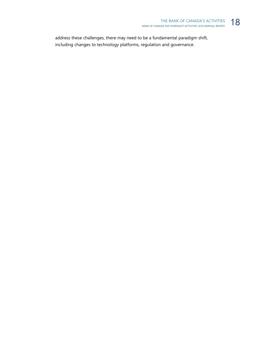address these challenges, there may need to be a fundamental paradigm shift, including changes to technology platforms, regulation and governance.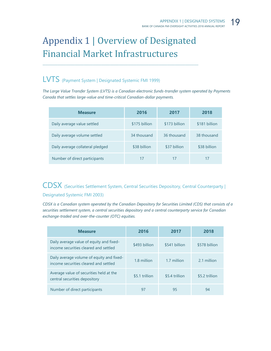# <span id="page-21-0"></span>Appendix 1 | Overview of Designated Financial Market Infrastructures

\_\_\_\_\_\_\_\_\_\_\_\_\_\_\_\_\_\_\_\_\_\_\_\_\_\_\_\_\_\_\_\_\_\_\_\_\_\_\_\_\_\_\_\_\_\_\_\_\_\_\_\_\_\_\_\_\_\_\_\_\_\_\_\_\_\_\_\_\_\_\_\_\_\_\_\_\_\_\_\_\_\_\_\_\_\_\_\_\_\_\_\_\_\_\_\_\_\_\_\_\_\_\_\_\_\_

### LVTS (Payment System | Designated Systemic FMI 1999)

*The Large Value Transfer System (LVTS) is a Canadian electronic funds-transfer system operated by Payments Canada that settles large-value and time-critical Canadian-dollar payments.*

| <b>Measure</b>                   | 2016          | 2017          | 2018          |
|----------------------------------|---------------|---------------|---------------|
| Daily average value settled      | \$175 billion | \$173 billion | \$181 billion |
| Daily average volume settled     | 34 thousand   | 36 thousand   | 38 thousand   |
| Daily average collateral pledged | \$38 billion  | \$37 billion  | \$38 billion  |
| Number of direct participants    | 17            | 17            | 17            |

### CDSX (Securities Settlement System, Central Securities Depository, Central Counterparty | Designated Systemic FMI 2003)

*CDSX is a Canadian system operated by the Canadian Depository for Securities Limited (CDS) that consists of a securities settlement system, a central securities depository and a central counterparty service for Canadian exchange-traded and over-the-counter (OTC) equities.*

| <b>Measure</b>                                                                     | 2016           | 2017           | 2018           |
|------------------------------------------------------------------------------------|----------------|----------------|----------------|
| Daily average value of equity and fixed-<br>income securities cleared and settled  | \$493 billion  | \$541 billion  | \$578 billion  |
| Daily average volume of equity and fixed-<br>income securities cleared and settled | 1.8 million    | 1.7 million    | 2.1 million    |
| Average value of securities held at the<br>central securities depository           | \$5.1 trillion | \$5.4 trillion | \$5.2 trillion |
| Number of direct participants                                                      | 97             | 95             | 94             |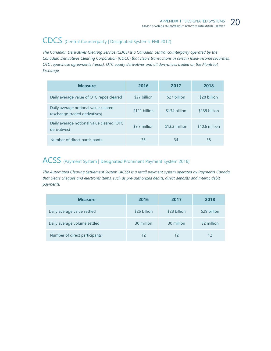# CDCS (Central Counterparty | Designated Systemic FMI 2012)

*The Canadian Derivatives Clearing Service (CDCS) is a Canadian central counterparty operated by the Canadian Derivatives Clearing Corporation (CDCC) that clears transactions in certain fixed-income securities, OTC repurchase agreements (repos), OTC equity derivatives and all derivatives traded on the Montréal Exchange.*

| <b>Measure</b>                                                        | 2016          | 2017           | 2018           |
|-----------------------------------------------------------------------|---------------|----------------|----------------|
| Daily average value of OTC repos cleared                              | \$27 billion  | \$27 billion   | \$28 billion   |
| Daily average notional value cleared<br>(exchange-traded derivatives) | \$121 billion | \$134 billion  | \$139 billion  |
| Daily average notional value cleared (OTC<br>derivatives)             | \$9.7 million | \$13.3 million | \$10.6 million |
| Number of direct participants                                         | 35            | 34             | 38             |

# ACSS (Payment System | Designated Prominent Payment System 2016)

*The Automated Clearing Settlement System (ACSS) is a retail payment system operated by Payments Canada that clears cheques and electronic items, such as pre-authorized debits, direct deposits and Interac debit payments.* 

| <b>Measure</b>                | 2016         | 2017         | 2018         |
|-------------------------------|--------------|--------------|--------------|
| Daily average value settled   | \$26 billion | \$28 billion | \$29 billion |
| Daily average volume settled  | 30 million   | 30 million   | 32 million   |
| Number of direct participants | 12           | 12           | 12           |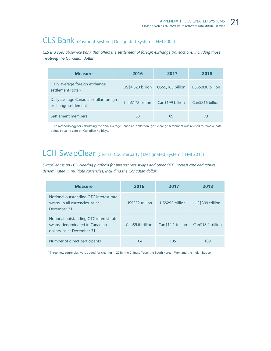# CLS Bank (Payment System | Designated Systemic FMI 2002)

*CLS is a special-service bank that offers the settlement of foreign exchange transactions, including those involving the Canadian dollar.*

| <b>Measure</b>                                                            | 2016              | 2017              | 2018              |
|---------------------------------------------------------------------------|-------------------|-------------------|-------------------|
| Daily average foreign exchange<br>settlement (total)                      | US\$4,820 billion | US\$5,185 billion | US\$5,830 billion |
| Daily average Canadian-dollar foreign<br>exchange settlement <sup>1</sup> | Can\$178 billion  | Can\$199 billion  | Can\$216 billion  |
| Settlement members                                                        | 68                | 69                | 73                |

<sup>1</sup> The methodology for calculating the daily average Canadian-dollar foreign exchange settlement was revised to remove data points equal to zero on Canadian holidays.

### LCH SwapClear (Central Counterparty | Designated Systemic FMI 2013)

*SwapClear is an LCH clearing platform for interest rate swaps and other OTC interest rate derivatives denominated in multiple currencies, including the Canadian dollar*.

| <b>Measure</b>                                                                                         | 2016              | 2017               | 2018 <sup>1</sup>  |
|--------------------------------------------------------------------------------------------------------|-------------------|--------------------|--------------------|
| Notional outstanding OTC interest rate<br>swaps, in all currencies, as at<br>December 31               | US\$252 trillion  | US\$292 trillion   | US\$309 trillion   |
| Notional outstanding OTC interest rate<br>swaps, denominated in Canadian<br>dollars, as at December 31 | Can\$9.6 trillion | Can\$12.1 trillion | Can\$18.4 trillion |
| Number of direct participants                                                                          | 104               | 105                | 109                |

<sup>1</sup> Three new currencies were added for clearing in 2018: the Chinese Yuan, the South Korean Won and the Indian Rupee.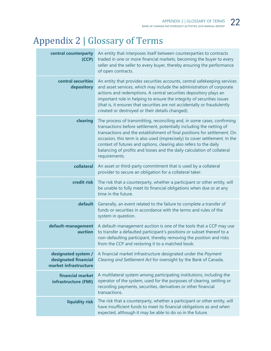# <span id="page-24-0"></span>Appendix 2 | Glossary of Terms

| central counterparty<br>(CCP)                                        | An entity that interposes itself between counterparties to contracts<br>traded in one or more financial markets, becoming the buyer to every<br>seller and the seller to every buyer, thereby ensuring the performance<br>of open contracts.                                                                                                                                                                                                                               |
|----------------------------------------------------------------------|----------------------------------------------------------------------------------------------------------------------------------------------------------------------------------------------------------------------------------------------------------------------------------------------------------------------------------------------------------------------------------------------------------------------------------------------------------------------------|
| central securities<br>depository                                     | An entity that provides securities accounts, central safekeeping services<br>and asset services, which may include the administration of corporate<br>actions and redemptions. A central securities depository plays an<br>important role in helping to ensure the integrity of securities issues<br>(that is, it ensures that securities are not accidentally or fraudulently<br>created or destroyed or their details changed).                                          |
| clearing                                                             | The process of transmitting, reconciling and, in some cases, confirming<br>transactions before settlement, potentially including the netting of<br>transactions and the establishment of final positions for settlement. On<br>occasion, this term is also used (imprecisely) to cover settlement. In the<br>context of futures and options, clearing also refers to the daily<br>balancing of profits and losses and the daily calculation of collateral<br>requirements. |
| collateral                                                           | An asset or third-party commitment that is used by a collateral<br>provider to secure an obligation for a collateral taker.                                                                                                                                                                                                                                                                                                                                                |
| credit risk                                                          | The risk that a counterparty, whether a participant or other entity, will<br>be unable to fully meet its financial obligations when due or at any<br>time in the future.                                                                                                                                                                                                                                                                                                   |
| default                                                              | Generally, an event related to the failure to complete a transfer of<br>funds or securities in accordance with the terms and rules of the<br>system in question.                                                                                                                                                                                                                                                                                                           |
| default-management<br>auction                                        | A default-management auction is one of the tools that a CCP may use<br>to transfer a defaulted participant's positions or subset thereof to a<br>non-defaulting participant, thereby removing the position and risks<br>from the CCP and restoring it to a matched book.                                                                                                                                                                                                   |
| designated system /<br>designated financial<br>market infrastructure | A financial market infrastructure designated under the Payment<br>Clearing and Settlement Act for oversight by the Bank of Canada.                                                                                                                                                                                                                                                                                                                                         |
| financial market<br>infrastructure (FMI)                             | A multilateral system among participating institutions, including the<br>operator of the system, used for the purposes of clearing, settling or<br>recording payments, securities, derivatives or other financial<br>transactions.                                                                                                                                                                                                                                         |
| liquidity risk                                                       | The risk that a counterparty, whether a participant or other entity, will<br>have insufficient funds to meet its financial obligations as and when<br>expected, although it may be able to do so in the future.                                                                                                                                                                                                                                                            |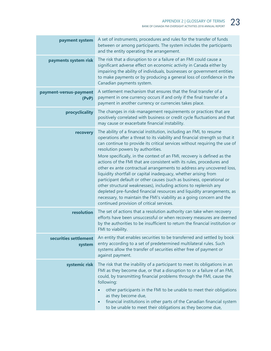| payment system                  | A set of instruments, procedures and rules for the transfer of funds<br>between or among participants. The system includes the participants<br>and the entity operating the arrangement.                                                                                                                                                                                                                                                                                                                                                                                                                                                                                                                                                                                                                                                                                                                            |
|---------------------------------|---------------------------------------------------------------------------------------------------------------------------------------------------------------------------------------------------------------------------------------------------------------------------------------------------------------------------------------------------------------------------------------------------------------------------------------------------------------------------------------------------------------------------------------------------------------------------------------------------------------------------------------------------------------------------------------------------------------------------------------------------------------------------------------------------------------------------------------------------------------------------------------------------------------------|
| payments system risk            | The risk that a disruption to or a failure of an FMI could cause a<br>significant adverse effect on economic activity in Canada either by<br>impairing the ability of individuals, businesses or government entities<br>to make payments or by producing a general loss of confidence in the<br>Canadian payments system.                                                                                                                                                                                                                                                                                                                                                                                                                                                                                                                                                                                           |
| payment-versus-payment<br>(PvP) | A settlement mechanism that ensures that the final transfer of a<br>payment in one currency occurs if and only if the final transfer of a<br>payment in another currency or currencies takes place.                                                                                                                                                                                                                                                                                                                                                                                                                                                                                                                                                                                                                                                                                                                 |
| procyclicality                  | The changes in risk-management requirements or practices that are<br>positively correlated with business or credit cycle fluctuations and that<br>may cause or exacerbate financial instability.                                                                                                                                                                                                                                                                                                                                                                                                                                                                                                                                                                                                                                                                                                                    |
| recovery                        | The ability of a financial institution, including an FMI, to resume<br>operations after a threat to its viability and financial strength so that it<br>can continue to provide its critical services without requiring the use of<br>resolution powers by authorities.<br>More specifically, in the context of an FMI, recovery is defined as the<br>actions of the FMI that are consistent with its rules, procedures and<br>other ex ante contractual arrangements to address any uncovered loss,<br>liquidity shortfall or capital inadequacy, whether arising from<br>participant default or other causes (such as business, operational or<br>other structural weaknesses), including actions to replenish any<br>depleted pre-funded financial resources and liquidity arrangements, as<br>necessary, to maintain the FMI's viability as a going concern and the<br>continued provision of critical services. |
| resolution                      | The set of actions that a resolution authority can take when recovery<br>efforts have been unsuccessful or when recovery measures are deemed<br>by the authorities to be insufficient to return the financial institution or<br>FMI to viability.                                                                                                                                                                                                                                                                                                                                                                                                                                                                                                                                                                                                                                                                   |
| securities settlement<br>system | An entity that enables securities to be transferred and settled by book<br>entry according to a set of predetermined multilateral rules. Such<br>systems allow the transfer of securities either free of payment or<br>against payment.                                                                                                                                                                                                                                                                                                                                                                                                                                                                                                                                                                                                                                                                             |
| systemic risk                   | The risk that the inability of a participant to meet its obligations in an<br>FMI as they become due, or that a disruption to or a failure of an FMI,<br>could, by transmitting financial problems through the FMI, cause the<br>following:<br>other participants in the FMI to be unable to meet their obligations<br>as they become due,<br>financial institutions in other parts of the Canadian financial system<br>$\bullet$<br>to be unable to meet their obligations as they become due,                                                                                                                                                                                                                                                                                                                                                                                                                     |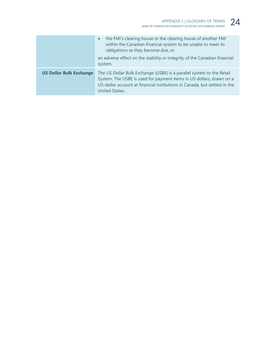|                                | the FMI's clearing house or the clearing house of another FMI<br>$\bullet$<br>within the Canadian financial system to be unable to meet its<br>obligations as they become due, or<br>an adverse effect on the stability or integrity of the Canadian financial<br>system. |
|--------------------------------|---------------------------------------------------------------------------------------------------------------------------------------------------------------------------------------------------------------------------------------------------------------------------|
| <b>US Dollar Bulk Exchange</b> | The US Dollar Bulk Exchange (USBE) is a parallel system to the Retail<br>System. The USBE is used for payment items in US dollars, drawn on a<br>US-dollar account at financial institutions in Canada, but settled in the<br><b>United States.</b>                       |